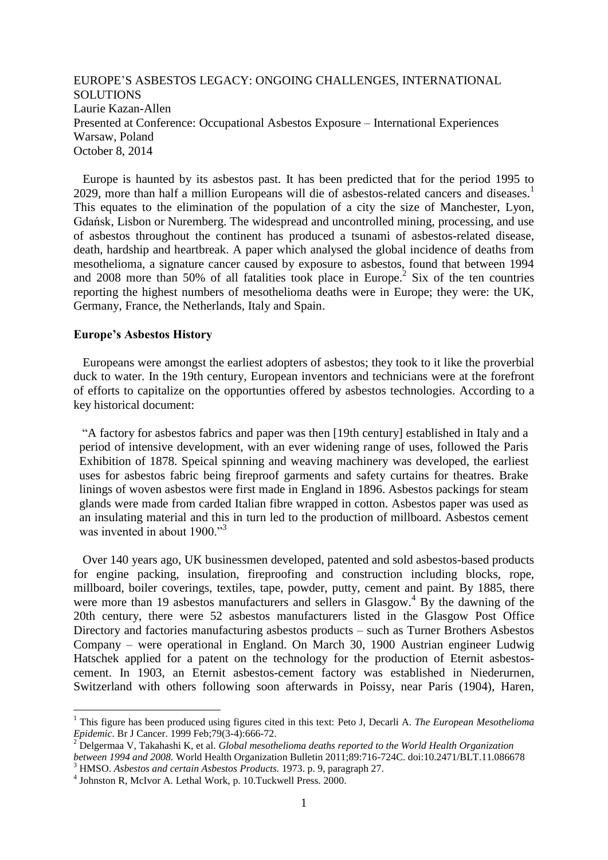EUROPE'S ASBESTOS LEGACY: ONGOING CHALLENGES, INTERNATIONAL **SOLUTIONS** Laurie Kazan-Allen Presented at Conference: Occupational Asbestos Exposure – International Experiences Warsaw, Poland October 8, 2014

 Europe is haunted by its asbestos past. It has been predicted that for the period 1995 to 2029, more than half a million Europeans will die of asbestos-related cancers and diseases.<sup>1</sup> This equates to the elimination of the population of a city the size of Manchester, Lyon, [Gdańsk,](http://en.wikipedia.org/wiki/Gda%C5%84sk) Lisbon or Nuremberg. The widespread and uncontrolled mining, processing, and use of asbestos throughout the continent has produced a tsunami of asbestos-related disease, death, hardship and heartbreak. A paper which analysed the global incidence of deaths from mesothelioma, a signature cancer caused by exposure to asbestos, found that between 1994 and 2008 more than 50% of all fatalities took place in Europe.<sup>2</sup> Six of the ten countries reporting the highest numbers of mesothelioma deaths were in Europe; they were: the UK, Germany, France, the Netherlands, Italy and Spain.

### **Europe's Asbestos History**

1

 Europeans were amongst the earliest adopters of asbestos; they took to it like the proverbial duck to water. In the 19th century, European inventors and technicians were at the forefront of efforts to capitalize on the opportunties offered by asbestos technologies. According to a key historical document:

"A factory for asbestos fabrics and paper was then [19th century] established in Italy and a period of intensive development, with an ever widening range of uses, followed the Paris Exhibition of 1878. Speical spinning and weaving machinery was developed, the earliest uses for asbestos fabric being fireproof garments and safety curtains for theatres. Brake linings of woven asbestos were first made in England in 1896. Asbestos packings for steam glands were made from carded Italian fibre wrapped in cotton. Asbestos paper was used as an insulating material and this in turn led to the production of millboard. Asbestos cement was invented in about 1900."<sup>3</sup>

 Over 140 years ago, UK businessmen developed, patented and sold asbestos-based products for engine packing, insulation, fireproofing and construction including blocks, rope, millboard, boiler coverings, textiles, tape, powder, putty, cement and paint. By 1885, there were more than 19 asbestos manufacturers and sellers in Glasgow.<sup>4</sup> By the dawning of the 20th century, there were 52 asbestos manufacturers listed in the Glasgow Post Office Directory and factories manufacturing asbestos products – such as Turner Brothers Asbestos Company – were operational in England. On March 30, 1900 Austrian engineer Ludwig Hatschek applied for a patent on the technology for the production of Eternit asbestoscement. In 1903, an Eternit asbestos-cement factory was established in Niederurnen, Switzerland with others following soon afterwards in Poissy, near Paris (1904), Haren,

<sup>1</sup> This figure has been produced using figures cited in this text: Peto J, Decarli A. *The European Mesothelioma Epidemic*. [Br J Cancer.](http://www.ncbi.nlm.nih.gov/pubmed/10027347) 1999 Feb;79(3-4):666-72.

<sup>2</sup> Delgermaa V, Takahashi K, et al. *Global mesothelioma deaths reported to the World Health Organization between 1994 and 2008.* World Health Organization Bulletin 2011;89:716-724C. doi:10.2471/BLT.11.086678 <sup>3</sup> HMSO. *Asbestos and certain Asbestos Products.* 1973. p. 9, paragraph 27.

<sup>4</sup> Johnston R, McIvor A. Lethal Work, p. 10.Tuckwell Press. 2000.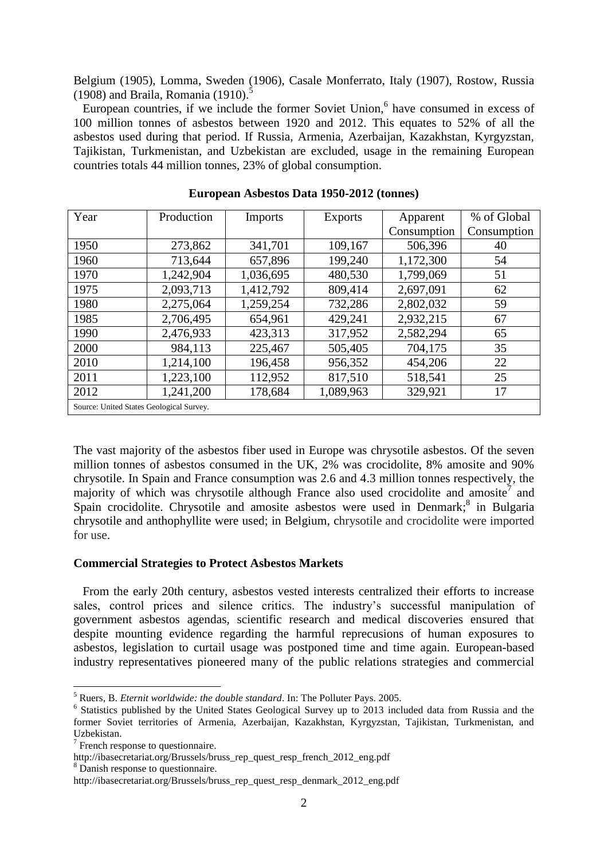Belgium (1905), Lomma, Sweden (1906), Casale Monferrato, Italy (1907), Rostow, Russia  $(1908)$  and Braila, Romania  $(1910)$ .

European countries, if we include the former Soviet Union,<sup>6</sup> have consumed in excess of 100 million tonnes of asbestos between 1920 and 2012. This equates to 52% of all the asbestos used during that period. If Russia, Armenia, Azerbaijan, Kazakhstan, Kyrgyzstan, Tajikistan, Turkmenistan, and Uzbekistan are excluded, usage in the remaining European countries totals 44 million tonnes, 23% of global consumption.

| Year                                     | Production | Imports   | <b>Exports</b> | Apparent    | % of Global |  |
|------------------------------------------|------------|-----------|----------------|-------------|-------------|--|
|                                          |            |           |                | Consumption | Consumption |  |
| 1950                                     | 273,862    | 341,701   | 109,167        | 506,396     | 40          |  |
| 1960                                     | 713,644    | 657,896   | 199,240        | 1,172,300   | 54          |  |
| 1970                                     | 1,242,904  | 1,036,695 | 480,530        | 1,799,069   | 51          |  |
| 1975                                     | 2,093,713  | 1,412,792 | 809,414        | 2,697,091   | 62          |  |
| 1980                                     | 2,275,064  | 1,259,254 | 732,286        | 2,802,032   | 59          |  |
| 1985                                     | 2,706,495  | 654,961   | 429,241        | 2,932,215   | 67          |  |
| 1990                                     | 2,476,933  | 423,313   | 317,952        | 2,582,294   | 65          |  |
| 2000                                     | 984,113    | 225,467   | 505,405        | 704,175     | 35          |  |
| 2010                                     | 1,214,100  | 196,458   | 956,352        | 454,206     | 22          |  |
| 2011                                     | 1,223,100  | 112,952   | 817,510        | 518,541     | 25          |  |
| 2012                                     | 1,241,200  | 178,684   | 1,089,963      | 329,921     | 17          |  |
| Source: United States Geological Survey. |            |           |                |             |             |  |

**European Asbestos Data 1950-2012 (tonnes)**

The vast majority of the asbestos fiber used in Europe was chrysotile asbestos. Of the seven million tonnes of asbestos consumed in the UK, 2% was crocidolite, 8% amosite and 90% chrysotile. In Spain and France consumption was 2.6 and 4.3 million tonnes respectively, the majority of which was chrysotile although France also used crocidolite and amosite<sup>7</sup> and Spain crocidolite. Chrysotile and amosite asbestos were used in Denmark;<sup>8</sup> in Bulgaria chrysotile and anthophyllite were used; in Belgium, chrysotile and crocidolite were imported for use.

### **Commercial Strategies to Protect Asbestos Markets**

 From the early 20th century, asbestos vested interests centralized their efforts to increase sales, control prices and silence critics. The industry's successful manipulation of government asbestos agendas, scientific research and medical discoveries ensured that despite mounting evidence regarding the harmful reprecusions of human exposures to asbestos, legislation to curtail usage was postponed time and time again. European-based industry representatives pioneered many of the public relations strategies and commercial

<sup>5</sup> Ruers, B. *Eternit worldwide: the double standard*. In: The Polluter Pays. 2005.

<sup>&</sup>lt;sup>6</sup> Statistics published by the United States Geological Survey up to 2013 included data from Russia and the former Soviet territories of Armenia, Azerbaijan, Kazakhstan, Kyrgyzstan, Tajikistan, Turkmenistan, and Uzbekistan.

 $\frac{7}{7}$  French response to questionnaire.

http://ibasecretariat.org/Brussels/bruss\_rep\_quest\_resp\_french\_2012\_eng.pdf

<sup>&</sup>lt;sup>8</sup> Danish response to questionnaire.

http://ibasecretariat.org/Brussels/bruss\_rep\_quest\_resp\_denmark\_2012\_eng.pdf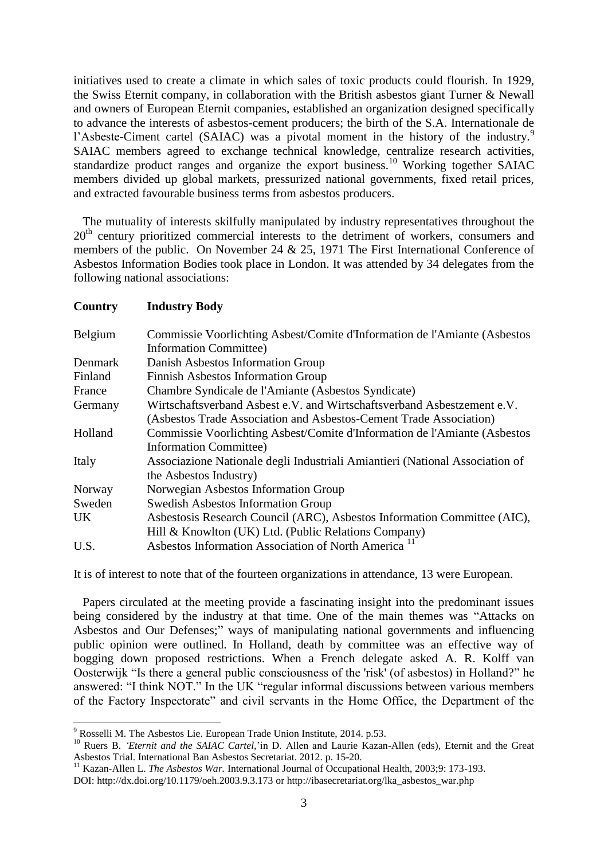initiatives used to create a climate in which sales of toxic products could flourish. In 1929, the Swiss Eternit company, in collaboration with the British asbestos giant Turner & Newall and owners of European Eternit companies, established an organization designed specifically to advance the interests of asbestos-cement producers; the birth of the S.A. Internationale de l'Asbeste-Ciment cartel (SAIAC) was a pivotal moment in the history of the industry.<sup>9</sup> SAIAC members agreed to exchange technical knowledge, centralize research activities, standardize product ranges and organize the export business.<sup>10</sup> Working together SAIAC members divided up global markets, pressurized national governments, fixed retail prices, and extracted favourable business terms from asbestos producers.

 The mutuality of interests skilfully manipulated by industry representatives throughout the 20<sup>th</sup> century prioritized commercial interests to the detriment of workers, consumers and members of the public. On November 24 & 25, 1971 The First International Conference of Asbestos Information Bodies took place in London. It was attended by 34 delegates from the following national associations:

#### **Country Industry Body**

<u>.</u>

| Belgium | Commissie Voorlichting Asbest/Comite d'Information de l'Amiante (Asbestos    |  |  |  |
|---------|------------------------------------------------------------------------------|--|--|--|
|         | <b>Information Committee)</b>                                                |  |  |  |
| Denmark | Danish Asbestos Information Group                                            |  |  |  |
| Finland | <b>Finnish Asbestos Information Group</b>                                    |  |  |  |
| France  | Chambre Syndicale de l'Amiante (Asbestos Syndicate)                          |  |  |  |
| Germany | Wirtschaftsverband Asbest e.V. and Wirtschaftsverband Asbestzement e.V.      |  |  |  |
|         | (Asbestos Trade Association and Asbestos-Cement Trade Association)           |  |  |  |
| Holland | Commissie Voorlichting Asbest/Comite d'Information de l'Amiante (Asbestos    |  |  |  |
|         | <b>Information Committee)</b>                                                |  |  |  |
| Italy   | Associazione Nationale degli Industriali Amiantieri (National Association of |  |  |  |
|         | the Asbestos Industry)                                                       |  |  |  |
| Norway  | Norwegian Asbestos Information Group                                         |  |  |  |
| Sweden  | <b>Swedish Asbestos Information Group</b>                                    |  |  |  |
| UK.     | Asbestosis Research Council (ARC), Asbestos Information Committee (AIC),     |  |  |  |
|         | Hill & Knowlton (UK) Ltd. (Public Relations Company)                         |  |  |  |
| U.S.    | Asbestos Information Association of North America <sup>11</sup>              |  |  |  |

It is of interest to note that of the fourteen organizations in attendance, 13 were European.

 Papers circulated at the meeting provide a fascinating insight into the predominant issues being considered by the industry at that time. One of the main themes was "Attacks on Asbestos and Our Defenses;" ways of manipulating national governments and influencing public opinion were outlined. In Holland, death by committee was an effective way of bogging down proposed restrictions. When a French delegate asked A. R. Kolff van Oosterwijk "Is there a general public consciousness of the 'risk' (of asbestos) in Holland?" he answered: "I think NOT." In the UK "regular informal discussions between various members of the Factory Inspectorate" and civil servants in the Home Office, the Department of the

 $9$  Rosselli M. The Asbestos Lie. European Trade Union Institute, 2014. p.53.

<sup>&</sup>lt;sup>10</sup> Ruers B. *'Eternit and the SAIAC Cartel*,'in D. Allen and Laurie Kazan-Allen (eds), Eternit and the Great Asbestos Trial. International Ban Asbestos Secretariat. 2012. p. 15-20.

<sup>11</sup> Kazan-Allen L. *The Asbestos War.* International Journal of Occupational Health, 2003;9: 173-193. DOI:<http://dx.doi.org/10.1179/oeh.2003.9.3.173> or http://ibasecretariat.org/lka\_asbestos\_war.php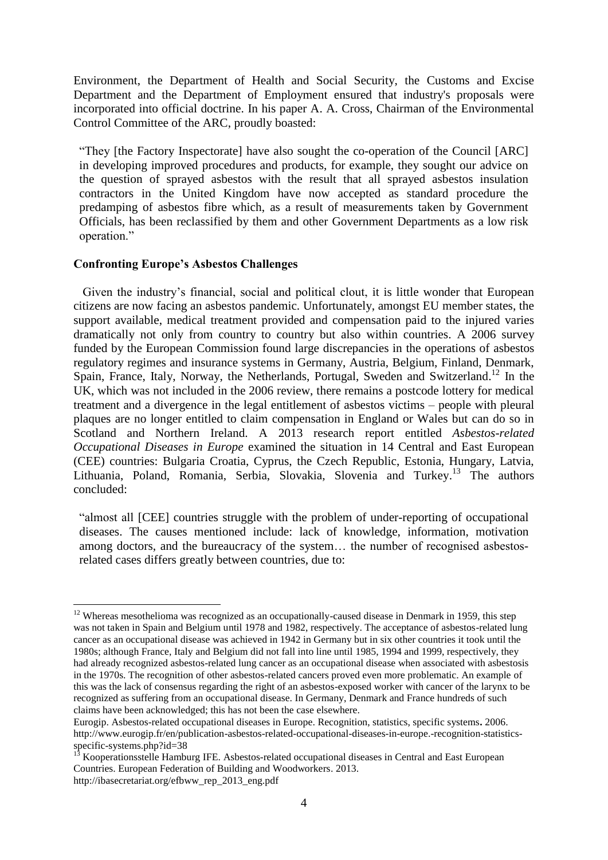Environment, the Department of Health and Social Security, the Customs and Excise Department and the Department of Employment ensured that industry's proposals were incorporated into official doctrine. In his paper A. A. Cross, Chairman of the Environmental Control Committee of the ARC, proudly boasted:

"They [the Factory Inspectorate] have also sought the co-operation of the Council [ARC] in developing improved procedures and products, for example, they sought our advice on the question of sprayed asbestos with the result that all sprayed asbestos insulation contractors in the United Kingdom have now accepted as standard procedure the predamping of asbestos fibre which, as a result of measurements taken by Government Officials, has been reclassified by them and other Government Departments as a low risk operation."

### **Confronting Europe's Asbestos Challenges**

<u>.</u>

 Given the industry's financial, social and political clout, it is little wonder that European citizens are now facing an asbestos pandemic. Unfortunately, amongst EU member states, the support available, medical treatment provided and compensation paid to the injured varies dramatically not only from country to country but also within countries. A 2006 survey funded by the European Commission found large discrepancies in the operations of asbestos regulatory regimes and insurance systems in Germany, Austria, Belgium, Finland, Denmark, Spain, France, Italy, Norway, the Netherlands, Portugal, Sweden and Switzerland.<sup>12</sup> In the UK, which was not included in the 2006 review, there remains a postcode lottery for medical treatment and a divergence in the legal entitlement of asbestos victims – people with pleural plaques are no longer entitled to claim compensation in England or Wales but can do so in Scotland and Northern Ireland. A 2013 research report entitled *Asbestos-related Occupational Diseases in Europe* examined the situation in 14 Central and East European (CEE) countries: Bulgaria Croatia, Cyprus, the Czech Republic, Estonia, Hungary, Latvia, Lithuania, Poland, Romania, Serbia, Slovakia, Slovenia and Turkey. <sup>13</sup> The authors concluded:

"almost all [CEE] countries struggle with the problem of under-reporting of occupational diseases. The causes mentioned include: lack of knowledge, information, motivation among doctors, and the bureaucracy of the system… the number of recognised asbestosrelated cases differs greatly between countries, due to:

<sup>&</sup>lt;sup>12</sup> Whereas mesothelioma was recognized as an occupationally-caused disease in Denmark in 1959, this step was not taken in Spain and Belgium until 1978 and 1982, respectively. The acceptance of asbestos-related lung cancer as an occupational disease was achieved in 1942 in Germany but in six other countries it took until the 1980s; although France, Italy and Belgium did not fall into line until 1985, 1994 and 1999, respectively, they had already recognized asbestos-related lung cancer as an occupational disease when associated with asbestosis in the 1970s. The recognition of other asbestos-related cancers proved even more problematic. An example of this was the lack of consensus regarding the right of an asbestos-exposed worker with cancer of the larynx to be recognized as suffering from an occupational disease. In Germany, Denmark and France hundreds of such claims have been acknowledged; this has not been the case elsewhere.

Eurogip. Asbestos-related occupational diseases in Europe. Recognition, statistics, specific systems**.** 2006. [http://www.eurogip.fr/en/publication-asbestos-related-occupational-diseases-in-europe.-recognition-statistics](http://www.eurogip.fr/en/publication-asbestos-related-occupational-diseases-in-europe.-recognition-statistics-specific-systems.php?id=38)[specific-systems.php?id=38](http://www.eurogip.fr/en/publication-asbestos-related-occupational-diseases-in-europe.-recognition-statistics-specific-systems.php?id=38)

<sup>13</sup> Kooperationsstelle Hamburg IFE. Asbestos-related occupational diseases in Central and East European Countries. European Federation of Building and Woodworkers. 2013. http://ibasecretariat.org/efbww\_rep\_2013\_eng.pdf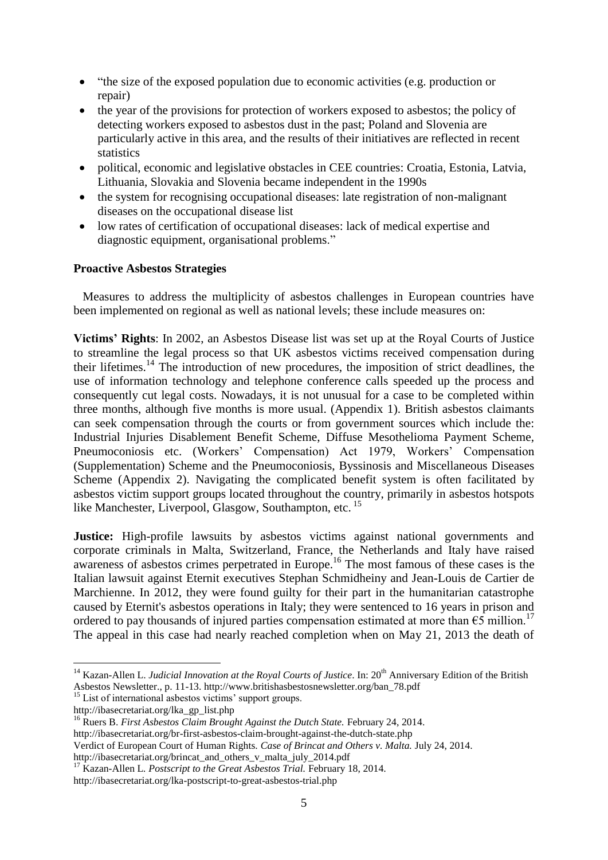- "the size of the exposed population due to economic activities (e.g. production or repair)
- the year of the provisions for protection of workers exposed to asbestos; the policy of detecting workers exposed to asbestos dust in the past; Poland and Slovenia are particularly active in this area, and the results of their initiatives are reflected in recent statistics
- political, economic and legislative obstacles in CEE countries: Croatia, Estonia, Latvia, Lithuania, Slovakia and Slovenia became independent in the 1990s
- the system for recognising occupational diseases: late registration of non-malignant diseases on the occupational disease list
- low rates of certification of occupational diseases: lack of medical expertise and diagnostic equipment, organisational problems."

# **Proactive Asbestos Strategies**

 Measures to address the multiplicity of asbestos challenges in European countries have been implemented on regional as well as national levels; these include measures on:

**Victims' Rights**: In 2002, an Asbestos Disease list was set up at the Royal Courts of Justice to streamline the legal process so that UK asbestos victims received compensation during their lifetimes.<sup>14</sup> The introduction of new procedures, the imposition of strict deadlines, the use of information technology and telephone conference calls speeded up the process and consequently cut legal costs. Nowadays, it is not unusual for a case to be completed within three months, although five months is more usual. (Appendix 1). British asbestos claimants can seek compensation through the courts or from government sources which include the: Industrial Injuries Disablement Benefit Scheme, Diffuse Mesothelioma Payment Scheme, Pneumoconiosis etc. (Workers' Compensation) Act 1979, Workers' Compensation (Supplementation) Scheme and the Pneumoconiosis, Byssinosis and Miscellaneous Diseases Scheme (Appendix 2). Navigating the complicated benefit system is often facilitated by asbestos victim support groups located throughout the country, primarily in asbestos hotspots like Manchester, Liverpool, Glasgow, Southampton, etc. <sup>15</sup>

**Justice:** High-profile lawsuits by asbestos victims against national governments and corporate criminals in Malta, Switzerland, France, the Netherlands and Italy have raised awareness of asbestos crimes perpetrated in Europe.<sup>16</sup> The most famous of these cases is the Italian lawsuit against Eternit executives Stephan Schmidheiny and Jean-Louis de Cartier de Marchienne. In 2012, they were found guilty for their part in the humanitarian catastrophe caused by Eternit's asbestos operations in Italy; they were sentenced to 16 years in prison and ordered to pay thousands of injured parties compensation estimated at more than  $\epsilon$ 5 million.<sup>17</sup> The appeal in this case had nearly reached completion when on May 21, 2013 the death of

<sup>&</sup>lt;sup>14</sup> Kazan-Allen L. *Judicial Innovation at the Royal Courts of Justice*. In: 20<sup>th</sup> Anniversary Edition of the British Asbestos Newsletter., p. 11-13. http://www.britishasbestosnewsletter.org/ban\_78.pdf

<sup>&</sup>lt;sup>15</sup> List of international asbestos victims' support groups.

http://ibasecretariat.org/lka\_gp\_list.php

<sup>16</sup> Ruers B. *First Asbestos Claim Brought Against the Dutch State.* February 24, 2014. http://ibasecretariat.org/br-first-asbestos-claim-brought-against-the-dutch-state.php Verdict of European Court of Human Rights. *Case of Brincat and Others v. Malta.* July 24, 2014. http://ibasecretariat.org/brincat\_and\_others\_v\_malta\_july\_2014.pdf

<sup>17</sup> Kazan-Allen L*. Postscript to the Great Asbestos Trial.* February 18, 2014.

http://ibasecretariat.org/lka-postscript-to-great-asbestos-trial.php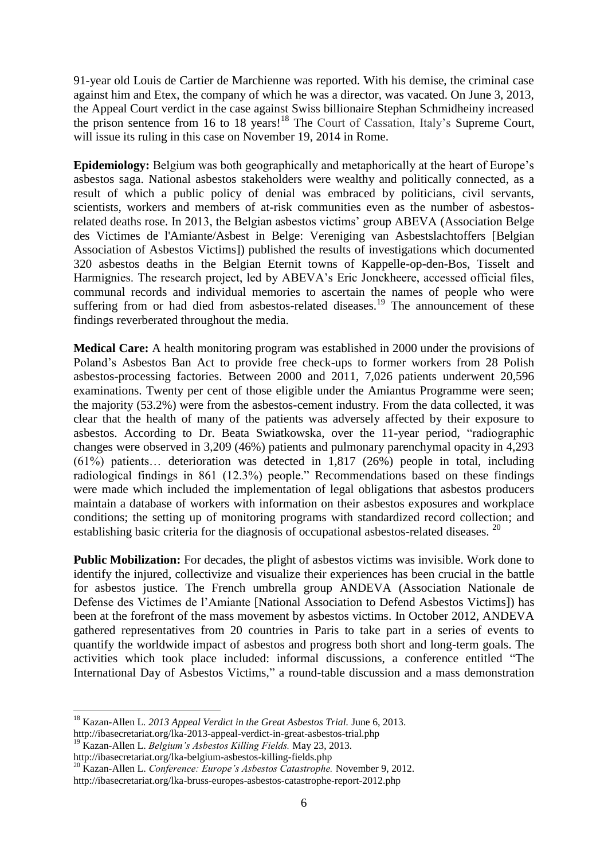91-year old Louis de Cartier de Marchienne was reported. With his demise, the criminal case against him and Etex, the company of which he was a director, was vacated. On June 3, 2013, the Appeal Court verdict in the case against Swiss billionaire Stephan Schmidheiny increased the prison sentence from 16 to 18 years!<sup>18</sup> The Court of Cassation, Italy's Supreme Court, will issue its ruling in this case on November 19, 2014 in Rome.

**Epidemiology:** Belgium was both geographically and metaphorically at the heart of Europe's asbestos saga. National asbestos stakeholders were wealthy and politically connected, as a result of which a public policy of denial was embraced by politicians, civil servants, scientists, workers and members of at-risk communities even as the number of asbestosrelated deaths rose. In 2013, the Belgian asbestos victims' group ABEVA (Association Belge des Victimes de l'Amiante/Asbest in Belge: Vereniging van Asbestslachtoffers [Belgian Association of Asbestos Victims]) published the results of investigations which documented 320 asbestos deaths in the Belgian Eternit towns of Kappelle-op-den-Bos, Tisselt and Harmignies. The research project, led by ABEVA's Eric Jonckheere, accessed official files, communal records and individual memories to ascertain the names of people who were suffering from or had died from asbestos-related diseases.<sup>19</sup> The announcement of these findings reverberated throughout the media.

**Medical Care:** A health monitoring program was established in 2000 under the provisions of Poland's Asbestos Ban Act to provide free check-ups to former workers from 28 Polish asbestos-processing factories. Between 2000 and 2011, 7,026 patients underwent 20,596 examinations. Twenty per cent of those eligible under the Amiantus Programme were seen; the majority (53.2%) were from the asbestos-cement industry. From the data collected, it was clear that the health of many of the patients was adversely affected by their exposure to asbestos. According to Dr. Beata Swiatkowska, over the 11-year period, "radiographic changes were observed in 3,209 (46%) patients and pulmonary parenchymal opacity in 4,293 (61%) patients… deterioration was detected in 1,817 (26%) people in total, including radiological findings in 861 (12.3%) people." Recommendations based on these findings were made which included the implementation of legal obligations that asbestos producers maintain a database of workers with information on their asbestos exposures and workplace conditions; the setting up of monitoring programs with standardized record collection; and establishing basic criteria for the diagnosis of occupational asbestos-related diseases. <sup>20</sup>

**Public Mobilization:** For decades, the plight of asbestos victims was invisible. Work done to identify the injured, collectivize and visualize their experiences has been crucial in the battle for asbestos justice. The French umbrella group ANDEVA (Association Nationale de Defense des Victimes de l'Amiante [National Association to Defend Asbestos Victims]) has been at the forefront of the mass movement by asbestos victims. In October 2012, ANDEVA gathered representatives from 20 countries in Paris to take part in a series of events to quantify the worldwide impact of asbestos and progress both short and long-term goals. The activities which took place included: informal discussions, a conference entitled "The International Day of Asbestos Victims," a round-table discussion and a mass demonstration

<sup>18</sup> Kazan-Allen L*. 2013 Appeal Verdict in the Great Asbestos Trial.* June 6, 2013. http://ibasecretariat.org/lka-2013-appeal-verdict-in-great-asbestos-trial.php

<sup>19</sup> Kazan-Allen L. *Belgium's Asbestos Killing Fields.* May 23, 2013. http://ibasecretariat.org/lka-belgium-asbestos-killing-fields.php

<sup>20</sup> Kazan-Allen L. *Conference: Europe's Asbestos Catastrophe.* November 9, 2012. http://ibasecretariat.org/lka-bruss-europes-asbestos-catastrophe-report-2012.php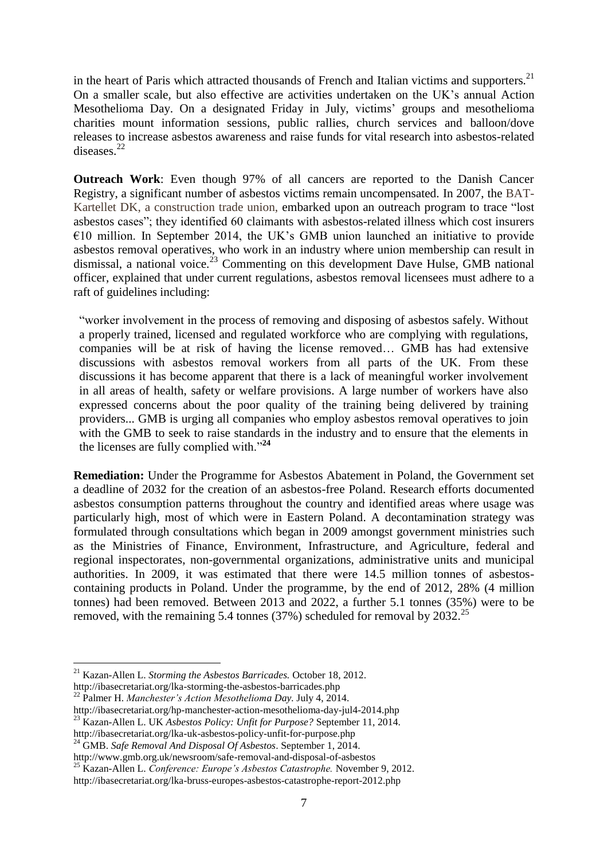in the heart of Paris which attracted thousands of French and Italian victims and supporters. $21$ On a smaller scale, but also effective are activities undertaken on the UK's annual Action Mesothelioma Day. On a designated Friday in July, victims' groups and mesothelioma charities mount information sessions, public rallies, church services and balloon/dove releases to increase asbestos awareness and raise funds for vital research into asbestos-related diseases.<sup>22</sup>

**Outreach Work**: Even though 97% of all cancers are reported to the Danish Cancer Registry, a significant number of asbestos victims remain uncompensated. In 2007, the BAT-Kartellet DK, a construction trade union, embarked upon an outreach program to trace "lost asbestos cases"; they identified 60 claimants with asbestos-related illness which cost insurers  $€10$  million. In September 2014, the UK's GMB union launched an initiative to provide asbestos removal operatives, who work in an industry where union membership can result in dismissal, a national voice.<sup>23</sup> Commenting on this development Dave Hulse, GMB national officer, explained that under current regulations, asbestos removal licensees must adhere to a raft of guidelines including:

"worker involvement in the process of removing and disposing of asbestos safely. Without a properly trained, licensed and regulated workforce who are complying with regulations, companies will be at risk of having the license removed… GMB has had extensive discussions with asbestos removal workers from all parts of the UK. From these discussions it has become apparent that there is a lack of meaningful worker involvement in all areas of health, safety or welfare provisions. A large number of workers have also expressed concerns about the poor quality of the training being delivered by training providers... GMB is urging all companies who employ asbestos removal operatives to join with the GMB to seek to raise standards in the industry and to ensure that the elements in the licenses are fully complied with."**<sup>24</sup>**

**Remediation:** Under the Programme for Asbestos Abatement in Poland, the Government set a deadline of 2032 for the creation of an asbestos-free Poland. Research efforts documented asbestos consumption patterns throughout the country and identified areas where usage was particularly high, most of which were in Eastern Poland. A decontamination strategy was formulated through consultations which began in 2009 amongst government ministries such as the Ministries of Finance, Environment, Infrastructure, and Agriculture, federal and regional inspectorates, non-governmental organizations, administrative units and municipal authorities. In 2009, it was estimated that there were 14.5 million tonnes of asbestoscontaining products in Poland. Under the programme, by the end of 2012, 28% (4 million tonnes) had been removed. Between 2013 and 2022, a further 5.1 tonnes (35%) were to be removed, with the remaining 5.4 tonnes (37%) scheduled for removal by  $2032<sup>25</sup>$ 

<sup>21</sup> Kazan-Allen L. *Storming the Asbestos Barricades.* October 18, 2012.

http://ibasecretariat.org/lka-storming-the-asbestos-barricades.php <sup>22</sup> Palmer H. *Manchester's Action Mesothelioma Day.* July 4, 2014.

http://ibasecretariat.org/hp-manchester-action-mesothelioma-day-jul4-2014.php

<sup>23</sup> Kazan-Allen L. UK *Asbestos Policy: Unfit for Purpose?* September 11, 2014.

http://ibasecretariat.org/lka-uk-asbestos-policy-unfit-for-purpose.php

<sup>24</sup> GMB. *Safe Removal And Disposal Of Asbestos*. September 1, 2014. http://www.gmb.org.uk/newsroom/safe-removal-and-disposal-of-asbestos

<sup>25</sup> Kazan-Allen L. *Conference: Europe's Asbestos Catastrophe.* November 9, 2012.

http://ibasecretariat.org/lka-bruss-europes-asbestos-catastrophe-report-2012.php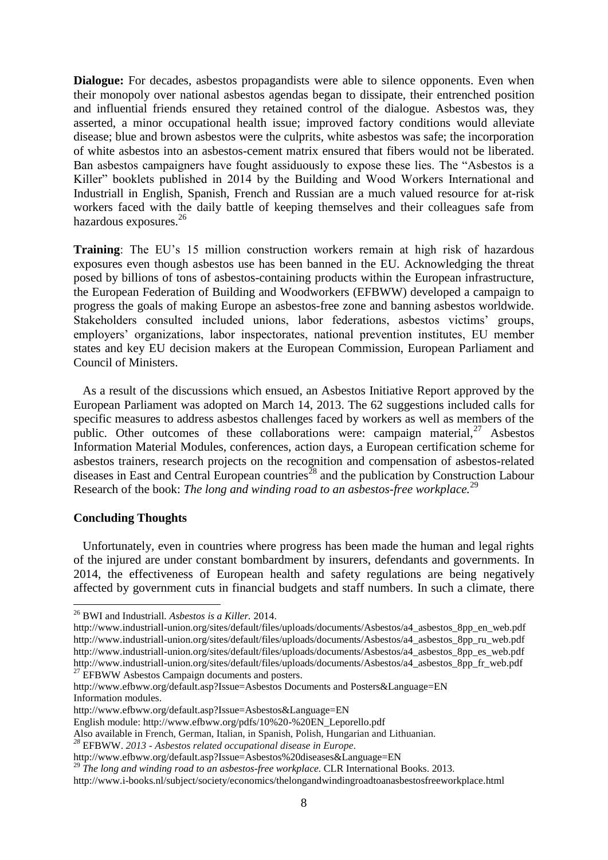**Dialogue:** For decades, asbestos propagandists were able to silence opponents. Even when their monopoly over national asbestos agendas began to dissipate, their entrenched position and influential friends ensured they retained control of the dialogue. Asbestos was, they asserted, a minor occupational health issue; improved factory conditions would alleviate disease; blue and brown asbestos were the culprits, white asbestos was safe; the incorporation of white asbestos into an asbestos-cement matrix ensured that fibers would not be liberated. Ban asbestos campaigners have fought assiduously to expose these lies. The "Asbestos is a Killer" booklets published in 2014 by the Building and Wood Workers International and Industriall in English, Spanish, French and Russian are a much valued resource for at-risk workers faced with the daily battle of keeping themselves and their colleagues safe from hazardous exposures.<sup>26</sup>

**Training**: The EU's 15 million construction workers remain at high risk of hazardous exposures even though asbestos use has been banned in the EU. Acknowledging the threat posed by billions of tons of asbestos-containing products within the European infrastructure, the European Federation of Building and Woodworkers (EFBWW) developed a campaign to progress the goals of making Europe an asbestos-free zone and banning asbestos worldwide. Stakeholders consulted included unions, labor federations, asbestos victims' groups, employers' organizations, labor inspectorates, national prevention institutes, EU member states and key EU decision makers at the European Commission, European Parliament and Council of Ministers.

 As a result of the discussions which ensued, an Asbestos Initiative Report approved by the European Parliament was adopted on March 14, 2013. The 62 suggestions included calls for specific measures to address asbestos challenges faced by workers as well as members of the public. Other outcomes of these collaborations were: campaign material,  $27$  Asbestos Information Material Modules, conferences, action days, a European certification scheme for asbestos trainers, research projects on the recognition and compensation of asbestos-related diseases in East and Central European countries<sup>28</sup> and the publication by Construction Labour Research of the book: *The long and winding road to an asbestos-free workplace.*<sup>29</sup>

### **Concluding Thoughts**

<u>.</u>

 Unfortunately, even in countries where progress has been made the human and legal rights of the injured are under constant bombardment by insurers, defendants and governments. In 2014, the effectiveness of European health and safety regulations are being negatively affected by government cuts in financial budgets and staff numbers. In such a climate, there

<sup>26</sup> BWI and Industriall*. Asbestos is a Killer.* 2014.

[http://www.industriall-union.org/sites/default/files/uploads/documents/Asbestos/a4\\_asbestos\\_8pp\\_en\\_web.pdf](http://www.industriall-union.org/sites/default/files/uploads/documents/Asbestos/a4_asbestos_8pp_en_web.pdf) [http://www.industriall-union.org/sites/default/files/uploads/documents/Asbestos/a4\\_asbestos\\_8pp\\_ru\\_web.pdf](http://www.industriall-union.org/sites/default/files/uploads/documents/Asbestos/a4_asbestos_8pp_ru_web.pdf) [http://www.industriall-union.org/sites/default/files/uploads/documents/Asbestos/a4\\_asbestos\\_8pp\\_es\\_web.pdf](http://www.industriall-union.org/sites/default/files/uploads/documents/Asbestos/a4_asbestos_8pp_es_web.pdf) [http://www.industriall-union.org/sites/default/files/uploads/documents/Asbestos/a4\\_asbestos\\_8pp\\_fr\\_web.pdf](http://www.industriall-union.org/sites/default/files/uploads/documents/Asbestos/a4_asbestos_8pp_fr_web.pdf)  $27$  EFBWW Asbestos Campaign documents and posters.

http://www.efbww.org/default.asp?Issue=Asbestos Documents and Posters&Language=EN Information modules.

http://www.efbww.org/default.asp?Issue=Asbestos&Language=EN

English module: http://www.efbww.org/pdfs/10%20-%20EN\_Leporello.pdf

Also available in French, German, Italian, in Spanish, Polish, Hungarian and Lithuanian.

*<sup>28</sup>* EFBWW. *2013 - Asbestos related occupational disease in Europe.*

http://www.efbww.org/default.asp?Issue=Asbestos%20diseases&Language=EN

<sup>&</sup>lt;sup>29</sup> The long and winding road to an asbestos-free workplace. CLR International Books. 2013.

http://www.i-books.nl/subject/society/economics/thelongandwindingroadtoanasbestosfreeworkplace.html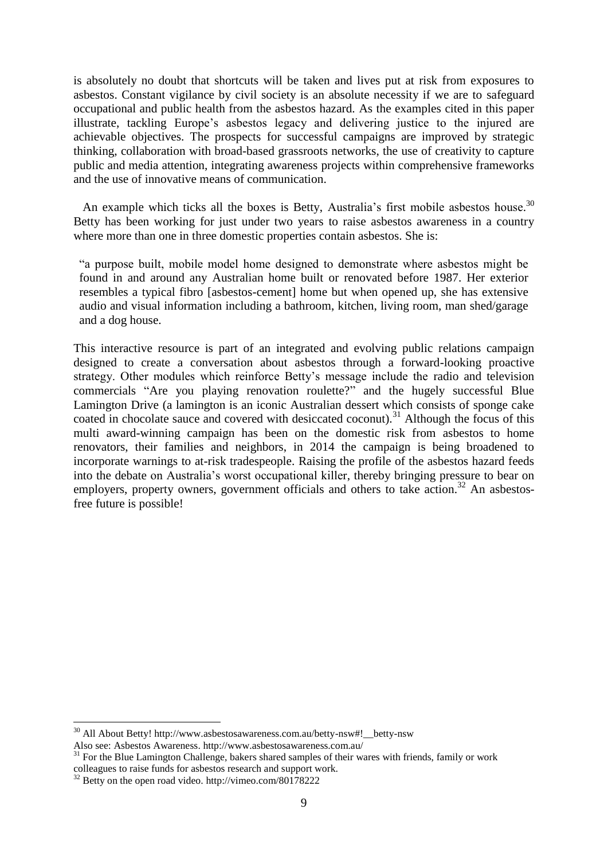is absolutely no doubt that shortcuts will be taken and lives put at risk from exposures to asbestos. Constant vigilance by civil society is an absolute necessity if we are to safeguard occupational and public health from the asbestos hazard. As the examples cited in this paper illustrate, tackling Europe's asbestos legacy and delivering justice to the injured are achievable objectives. The prospects for successful campaigns are improved by strategic thinking, collaboration with broad-based grassroots networks, the use of creativity to capture public and media attention, integrating awareness projects within comprehensive frameworks and the use of innovative means of communication.

An example which ticks all the boxes is Betty, Australia's first mobile asbestos house.<sup>30</sup> Betty has been working for just under two years to raise asbestos awareness in a country where more than one in three domestic properties contain asbestos. She is:

"a purpose built, mobile model home designed to demonstrate where asbestos might be found in and around any Australian home built or renovated before 1987. Her exterior resembles a typical fibro [asbestos-cement] home but when opened up, she has extensive audio and visual information including a bathroom, kitchen, living room, man shed/garage and a dog house.

This interactive resource is part of an integrated and evolving public relations campaign designed to create a conversation about asbestos through a forward-looking proactive strategy. Other modules which reinforce Betty's message include the radio and television commercials ["Are you playing renovation roulette?"](http://www.asbestosawareness.com.au/#!__asbestos-awareness) and the hugely successful Blue Lamington Drive (a lamington is an iconic Australian dessert which consists of sponge cake coated in chocolate sauce and covered with desiccated coconut).<sup>31</sup> Although the focus of this multi award-winning campaign has been on the domestic risk from asbestos to home renovators, their families and neighbors, in 2014 the campaign is being broadened to incorporate warnings to at-risk tradespeople. Raising the profile of the asbestos hazard feeds into the debate on Australia's worst occupational killer, thereby bringing pressure to bear on employers, property owners, government officials and others to take action.<sup>32</sup> An asbestosfree future is possible!

<u>.</u>

<sup>&</sup>lt;sup>30</sup> All About Betty! http://www.asbestosawareness.com.au/betty-nsw#!\_\_betty-nsw Also see: Asbestos Awareness.<http://www.asbestosawareness.com.au/>

<sup>&</sup>lt;sup>31</sup> For the Blue Lamington Challenge, bakers shared samples of their wares with friends, family or work colleagues to raise funds for asbestos research and support work.

<sup>&</sup>lt;sup>32</sup> Betty on the open road video. http://vimeo.com/80178222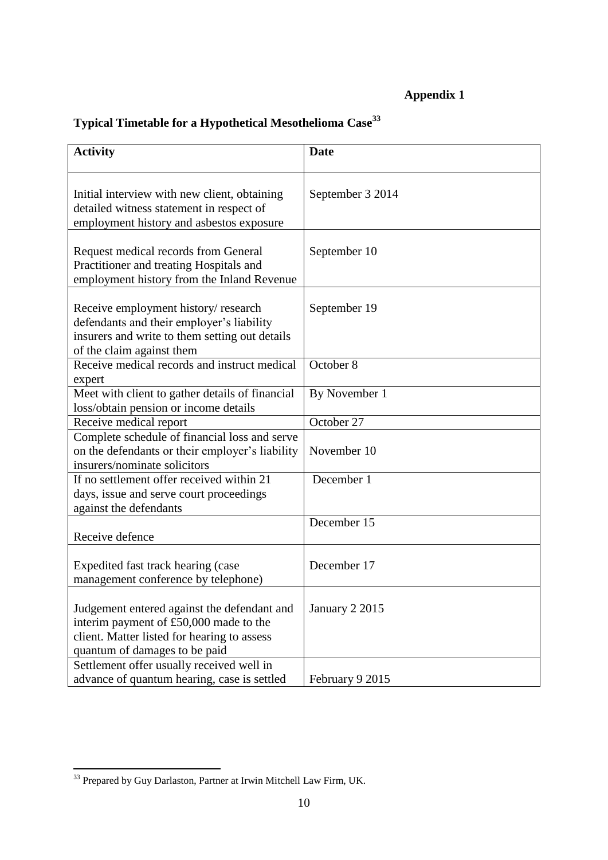# **Appendix 1**

| <b>Activity</b>                                                                                                                                                       | <b>Date</b>      |
|-----------------------------------------------------------------------------------------------------------------------------------------------------------------------|------------------|
| Initial interview with new client, obtaining<br>detailed witness statement in respect of<br>employment history and asbestos exposure                                  | September 3 2014 |
| Request medical records from General<br>Practitioner and treating Hospitals and<br>employment history from the Inland Revenue                                         | September 10     |
| Receive employment history/research<br>defendants and their employer's liability<br>insurers and write to them setting out details<br>of the claim against them       | September 19     |
| Receive medical records and instruct medical<br>expert                                                                                                                | October 8        |
| Meet with client to gather details of financial<br>loss/obtain pension or income details                                                                              | By November 1    |
| Receive medical report                                                                                                                                                | October 27       |
| Complete schedule of financial loss and serve<br>on the defendants or their employer's liability<br>insurers/nominate solicitors                                      | November 10      |
| If no settlement offer received within 21<br>days, issue and serve court proceedings<br>against the defendants                                                        | December 1       |
| Receive defence                                                                                                                                                       | December 15      |
| Expedited fast track hearing (case<br>management conference by telephone)                                                                                             | December 17      |
| Judgement entered against the defendant and<br>interim payment of £50,000 made to the<br>client. Matter listed for hearing to assess<br>quantum of damages to be paid | January 2 2015   |
| Settlement offer usually received well in<br>advance of quantum hearing, case is settled                                                                              | February 9 2015  |

# **Typical Timetable for a Hypothetical Mesothelioma Case<sup>33</sup>**

<sup>&</sup>lt;sup>33</sup> Prepared by Guy Darlaston, Partner at Irwin Mitchell Law Firm, UK.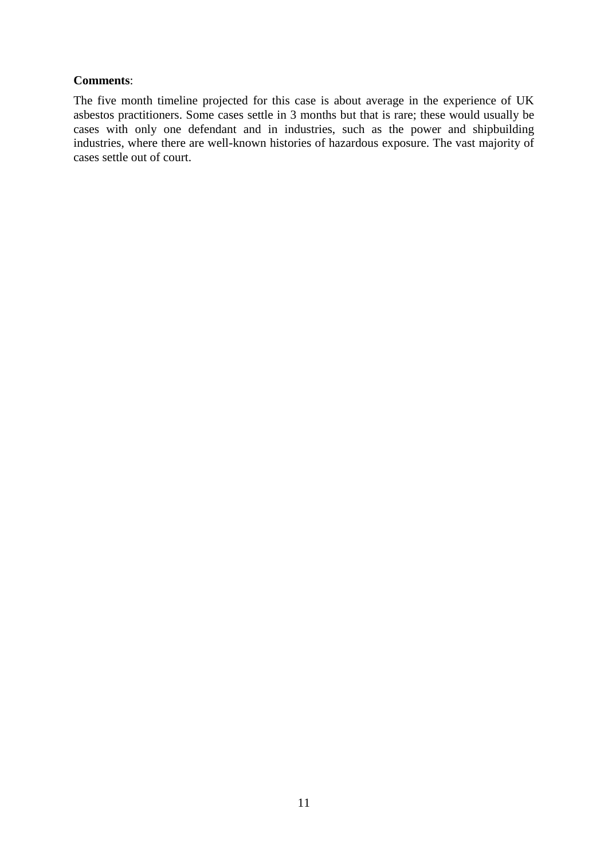## **Comments**:

The five month timeline projected for this case is about average in the experience of UK asbestos practitioners. Some cases settle in 3 months but that is rare; these would usually be cases with only one defendant and in industries, such as the power and shipbuilding industries, where there are well-known histories of hazardous exposure. The vast majority of cases settle out of court.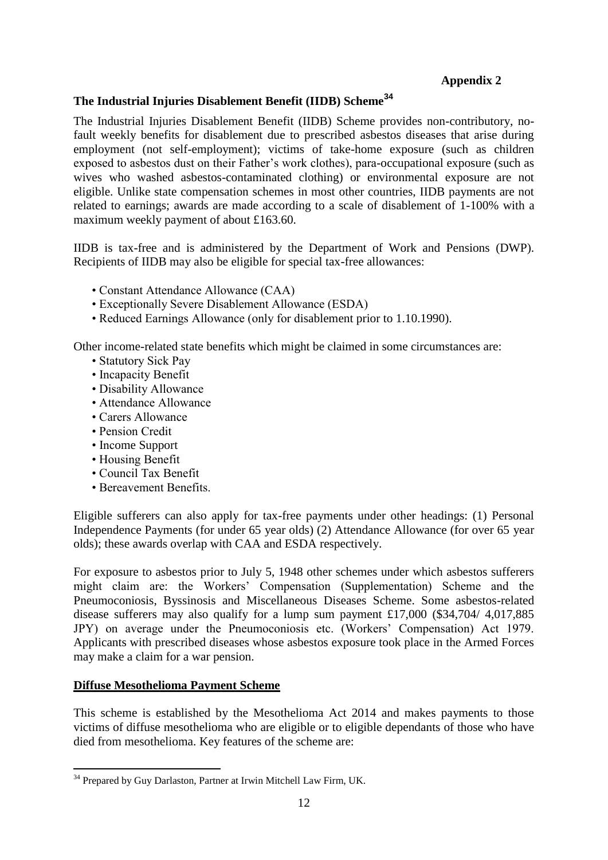# **Appendix 2**

# **The Industrial Injuries Disablement Benefit (IIDB) Scheme<sup>34</sup>**

The Industrial Injuries Disablement Benefit (IIDB) Scheme provides non-contributory, nofault weekly benefits for disablement due to prescribed asbestos diseases that arise during employment (not self-employment); victims of take-home exposure (such as children exposed to asbestos dust on their Father's work clothes), para-occupational exposure (such as wives who washed asbestos-contaminated clothing) or environmental exposure are not eligible. Unlike state compensation schemes in most other countries, IIDB payments are not related to earnings; awards are made according to a scale of disablement of 1-100% with a maximum weekly payment of about £163.60.

IIDB is tax-free and is administered by the Department of Work and Pensions (DWP). Recipients of IIDB may also be eligible for special tax-free allowances:

- Constant Attendance Allowance (CAA)
- Exceptionally Severe Disablement Allowance (ESDA)
- Reduced Earnings Allowance (only for disablement prior to 1.10.1990).

Other income-related state benefits which might be claimed in some circumstances are:

- Statutory Sick Pay
- Incapacity Benefit
- Disability Allowance
- Attendance Allowance
- Carers Allowance
- Pension Credit
- Income Support
- Housing Benefit
- Council Tax Benefit
- Bereavement Benefits.

Eligible sufferers can also apply for tax-free payments under other headings: (1) Personal Independence Payments (for under 65 year olds) (2) Attendance Allowance (for over 65 year olds); these awards overlap with CAA and ESDA respectively.

For exposure to asbestos prior to July 5, 1948 other schemes under which asbestos sufferers might claim are: the Workers' Compensation (Supplementation) Scheme and the Pneumoconiosis, Byssinosis and Miscellaneous Diseases Scheme. Some asbestos-related disease sufferers may also qualify for a lump sum payment £17,000 (\$34,704/ 4,017,885 JPY) on average under the Pneumoconiosis etc. (Workers' Compensation) Act 1979. Applicants with prescribed diseases whose asbestos exposure took place in the Armed Forces may make a claim for a war pension.

# **Diffuse Mesothelioma Payment Scheme**

1

This scheme is established by the Mesothelioma Act 2014 and makes payments to those victims of diffuse mesothelioma who are eligible or to eligible dependants of those who have died from mesothelioma. Key features of the scheme are:

<sup>&</sup>lt;sup>34</sup> Prepared by Guy Darlaston, Partner at Irwin Mitchell Law Firm, UK.